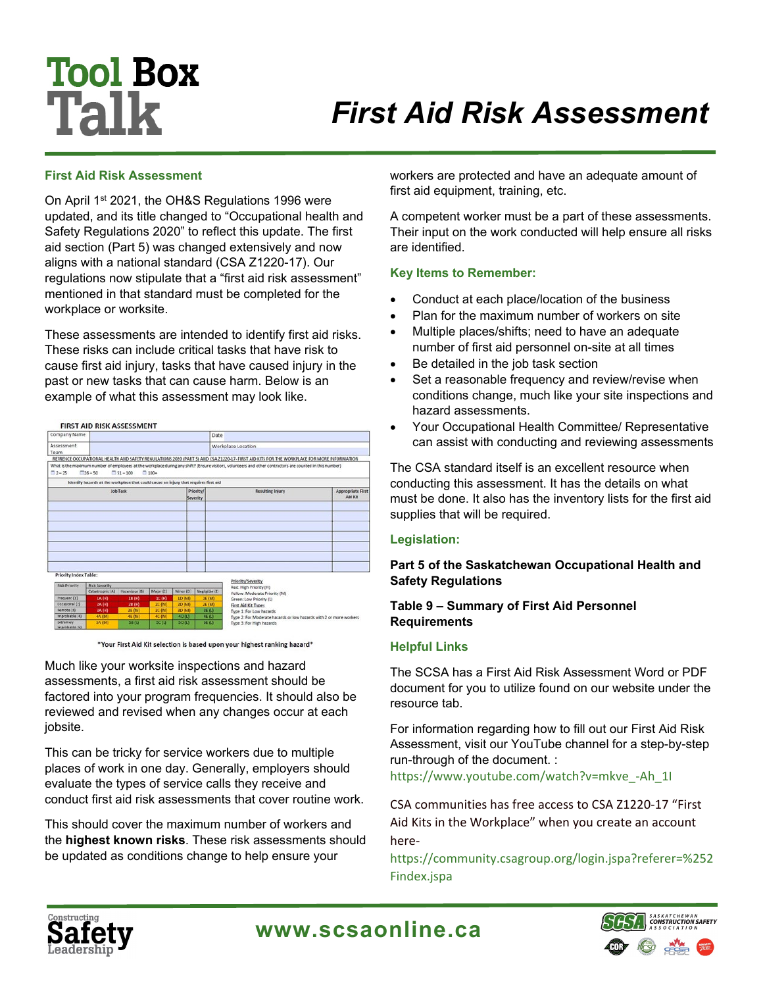# **Tool Box** Talk

## *First Aid Risk Assessment*

#### **First Aid Risk Assessment**

On April 1<sup>st</sup> 2021, the OH&S Regulations 1996 were updated, and its title changed to "Occupational health and Safety Regulations 2020" to reflect this update. The first aid section (Part 5) was changed extensively and now aligns with a national standard (CSA Z1220-17). Our regulations now stipulate that a "first aid risk assessment" mentioned in that standard must be completed for the workplace or worksite.

These assessments are intended to identify first aid risks. These risks can include critical tasks that have risk to cause first aid injury, tasks that have caused injury in the past or new tasks that can cause harm. Below is an example of what this assessment may look like.

|                                              | <b>FIRST AID RISK ASSESSMENT</b>                                                     |            |                                |               |                              |                    |                                                                                                                                                           |  |  |
|----------------------------------------------|--------------------------------------------------------------------------------------|------------|--------------------------------|---------------|------------------------------|--------------------|-----------------------------------------------------------------------------------------------------------------------------------------------------------|--|--|
| Company Name                                 |                                                                                      |            |                                |               |                              | Date               |                                                                                                                                                           |  |  |
| Assessment<br>Team                           |                                                                                      |            |                                |               |                              | Workplace Location |                                                                                                                                                           |  |  |
|                                              |                                                                                      |            |                                |               |                              |                    | REFRENCE OCCUPATIONAL HEALTH AND SAFETY REGULATIONS 2020 (PART 5) AND CSA 21220-17- FIRST AID KITS FOR THE WORKPLACE FOR MORE INFORMATION                 |  |  |
| $-2 - 25$                                    | $\Box 26 - 50$                                                                       | $51 - 100$ | $100*$                         |               |                              |                    | What is the maximum number of employees at the workplace during any shift? (Ensure visitors, volunteers and other contractors are counted in this number) |  |  |
|                                              | Identify hazards at the workplace that could cause an injury that requires first aid |            |                                |               |                              |                    |                                                                                                                                                           |  |  |
| <b>Job Task</b>                              |                                                                                      |            |                                |               | <b>Priority/</b><br>Severity |                    | <b>Appropriate First</b><br><b>Resulting Injury</b>                                                                                                       |  |  |
| <b>Priority Index Table:</b>                 |                                                                                      |            |                                |               |                              |                    |                                                                                                                                                           |  |  |
| <b>Risk Severity</b><br><b>Risk Priority</b> |                                                                                      |            |                                |               |                              |                    | Priority/Severity                                                                                                                                         |  |  |
|                                              | Catmtrophic (A)<br>Hazardous (8)<br>Major (C)<br>Minor (D)                           |            |                                |               | Negligible (f)               |                    | Red: High Priority (H)                                                                                                                                    |  |  |
| Frequent (1)                                 | <b>JA (H)</b>                                                                        | 18 (H)     | IC <sub>0</sub> 0 <sub>0</sub> | <b>1D (M)</b> |                              | <b>JE (M)</b>      | Yellow: Moderate Priority (M)<br>Green: Low Priority (L)                                                                                                  |  |  |
| Occasional (2)                               | <b>2A (H)</b>                                                                        | 28 (H)     | 2C (M)                         | <b>ZD (M)</b> |                              | 2E (M)             | <b>First Aid Kit Types</b>                                                                                                                                |  |  |
| Remote (3)                                   | 3A (H)                                                                               | 38 (M)     | 3C (M)                         | 3D (M)        |                              | 3E (L)             | Type 1: For Low hazards                                                                                                                                   |  |  |
| Improbable (4)                               | 40.04                                                                                | 48 (M)     | 4C (M)                         | 4D (L)        |                              | 4E (L)             | Type 2: For Moderate hazards or low hazards with 2 or more workers<br>Type 3: For High hazards                                                            |  |  |
| Extramely<br><b>Mr. 649</b>                  | <b>SA (M)</b>                                                                        | 58 (4)     | 56(4)                          | 50(1)         |                              | SE(1)              |                                                                                                                                                           |  |  |

\*Your First Aid Kit selection is based upon your highest ranking hazard\*

Much like your worksite inspections and hazard assessments, a first aid risk assessment should be factored into your program frequencies. It should also be reviewed and revised when any changes occur at each jobsite.

This can be tricky for service workers due to multiple places of work in one day. Generally, employers should evaluate the types of service calls they receive and conduct first aid risk assessments that cover routine work.

This should cover the maximum number of workers and the **highest known risks**. These risk assessments should be updated as conditions change to help ensure your

workers are protected and have an adequate amount of first aid equipment, training, etc.

A competent worker must be a part of these assessments. Their input on the work conducted will help ensure all risks are identified.

#### **Key Items to Remember:**

- Conduct at each place/location of the business
- Plan for the maximum number of workers on site
- Multiple places/shifts; need to have an adequate number of first aid personnel on-site at all times
- Be detailed in the job task section
- Set a reasonable frequency and review/revise when conditions change, much like your site inspections and hazard assessments.
- Your Occupational Health Committee/ Representative can assist with conducting and reviewing assessments

The CSA standard itself is an excellent resource when conducting this assessment. It has the details on what must be done. It also has the inventory lists for the first aid supplies that will be required.

#### **Legislation:**

#### **Part 5 of the Saskatchewan Occupational Health and Safety Regulations**

#### **Table 9 – Summary of First Aid Personnel Requirements**

#### **Helpful Links**

The SCSA has a First Aid Risk Assessment Word or PDF document for you to utilize found on our website under the resource tab.

For information regarding how to fill out our First Aid Risk Assessment, visit our YouTube channel for a step-by-step run-through of the document. :

[https://www.youtube.com/watch?v=mkve\\_-Ah\\_1I](https://www.youtube.com/watch?v=mkve_-Ah_1I)

CSA communities has free access to CSA Z1220-17 "First Aid Kits in the Workplace" when you create an account here-

[https://community.csagroup.org/login.jspa?referer=%252](https://community.csagroup.org/login.jspa?referer=%252Findex.jspa) [Findex.jspa](https://community.csagroup.org/login.jspa?referer=%252Findex.jspa)





### **www.scsaonline.ca**